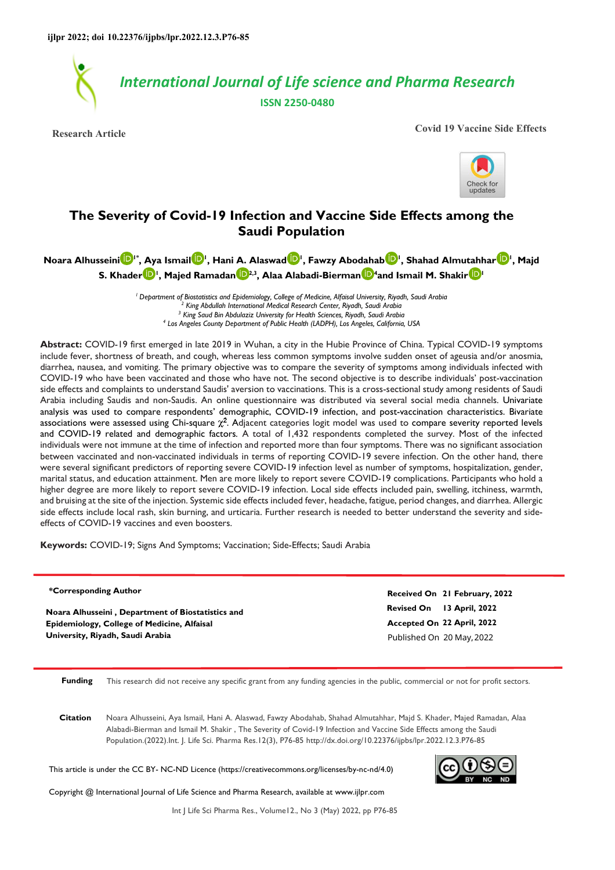

**Research Article Covid 19 Vaccine Side Effects**



# **The Severity of Covid-19 Infection and Vaccine Side Effects among the Saudi Population**

 $N$ oara Alhusseini $\blacksquare$ <sup>[1](https://orcid.org/0000-0003-4976-4194)</sup>'[,](https://orcid.org/0000-0002-0192-7890) Aya Ismail $\blacksquare$ ', Hani A. Alaswa[d](https://orcid.org/0000-0001-7057-9247) $\blacksquare$ , Fawzy Abodahab $\blacksquare$ ', Shahad Almutahhar $\blacksquare$ ', Majd **S. Khade[r](https://orcid.org/0000-0002-9849-5640) <sup>1</sup> , Majed Ramadan [2](https://orcid.org/0000-0001-9838-2155),3, Alaa Alabadi-Bierman [4](https://orcid.org/0000-0002-5847-1628) and Ismail M. Shakir [1](https://orcid.org/0000-0002-8026-9549)**

> *<sup>1</sup>Department of Biostatistics and Epidemiology, College of Medicine, Alfaisal University, Riyadh, Saudi Arabia 2 King Abdullah International Medical Research Center, Riyadh, Saudi Arabia 3 King Saud Bin Abdulaziz University for Health Sciences, Riyadh, Saudi Arabia 4 Los Angeles County Department of Public Health (LADPH), Los Angeles, California, USA*

**Abstract:** COVID-19 first emerged in late 2019 in Wuhan, a city in the Hubie Province of China. Typical COVID-19 symptoms include fever, shortness of breath, and cough, whereas less common symptoms involve sudden onset of ageusia and/or anosmia, diarrhea, nausea, and vomiting. The primary objective was to compare the severity of symptoms among individuals infected with COVID-19 who have been vaccinated and those who have not. The second objective is to describe individuals' post-vaccination side effects and complaints to understand Saudis' aversion to vaccinations. This is a cross-sectional study among residents of Saudi Arabia including Saudis and non-Saudis. An online questionnaire was distributed via several social media channels. Univariate analysis was used to compare respondents' demographic, COVID-19 infection, and post-vaccination characteristics. Bivariate associations were assessed using Chi-square  $\chi^2$ . Adjacent categories logit model was used to compare severity reported levels and COVID-19 related and demographic factors*.* A total of 1,432 respondents completed the survey. Most of the infected individuals were not immune at the time of infection and reported more than four symptoms. There was no significant association between vaccinated and non-vaccinated individuals in terms of reporting COVID-19 severe infection. On the other hand, there were several significant predictors of reporting severe COVID-19 infection level as number of symptoms, hospitalization, gender, marital status, and education attainment. Men are more likely to report severe COVID-19 complications. Participants who hold a higher degree are more likely to report severe COVID-19 infection. Local side effects included pain, swelling, itchiness, warmth, and bruising at the site of the injection. Systemic side effects included fever, headache, fatigue, period changes, and diarrhea. Allergic side effects include local rash, skin burning, and urticaria. Further research is needed to better understand the severity and sideeffects of COVID-19 vaccines and even boosters.

**Keywords:** COVID-19; Signs And Symptoms; Vaccination; Side-Effects; Saudi Arabia

### **\*Corresponding Author**

**Noara Alhusseini , Department of Biostatistics and Epidemiology, College of Medicine, Alfaisal University, Riyadh, Saudi Arabia**

**Revised On 13 April, 2022 Accepted On 22 April, 2022 Received On 21 February, 2022** Published On 20 May,2022

**Funding** This research did not receive any specific grant from any funding agencies in the public, commercial or not for profit sectors.

**Citation** Noara Alhusseini, Aya Ismail, Hani A. Alaswad, Fawzy Abodahab, Shahad Almutahhar, Majd S. Khader, Majed Ramadan, Alaa Alabadi-Bierman and Ismail M. Shakir , The Severity of Covid-19 Infection and Vaccine Side Effects among the Saudi Population.(2022).Int. J. Life Sci. Pharma Res.12(3), P76-85 http://dx.doi.org/10.22376/ijpbs/lpr.2022.12.3.P76-85

This article is under the CC BY- NC-ND Licence (https://creativecommons.org/licenses/by-nc-nd/4.0)



Copyright @ International Journal of Life Science and Pharma Research, available at www.ijlpr.com

Int J Life Sci Pharma Res., Volume12., No 3 (May) 2022, pp P76-85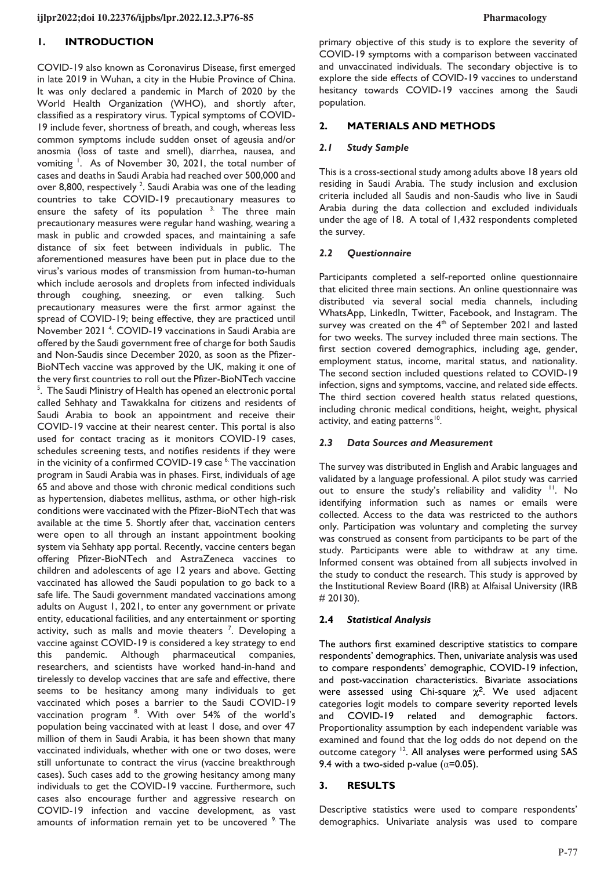### **1. INTRODUCTION**

COVID-19 also known as Coronavirus Disease, first emerged in late 2019 in Wuhan, a city in the Hubie Province of China. It was only declared a pandemic in March of 2020 by the World Health Organization (WHO), and shortly after, classified as a respiratory virus. Typical symptoms of COVID-19 include fever, shortness of breath, and cough, whereas less common symptoms include sudden onset of ageusia and/or anosmia (loss of taste and smell), diarrhea, nausea, and vomiting<sup>1</sup>. As of November 30, 2021, the total number of cases and deaths in Saudi Arabia had reached over 500,000 and over 8,800, respectively  $^2$ . Saudi Arabia was one of the leading countries to take COVID-19 precautionary measures to ensure the safety of its population  $3$ . The three main precautionary measures were regular hand washing, wearing a mask in public and crowded spaces, and maintaining a safe distance of six feet between individuals in public. The aforementioned measures have been put in place due to the virus's various modes of transmission from human-to-human which include aerosols and droplets from infected individuals through coughing, sneezing, or even talking. Such precautionary measures were the first armor against the spread of COVID-19; being effective, they are practiced until November 2021<sup>4</sup>. COVID-19 vaccinations in Saudi Arabia are offered by the Saudi government free of charge for both Saudis and Non-Saudis since December 2020, as soon as the Pfizer-BioNTech vaccine was approved by the UK, making it one of the very first countries to roll out the Pfizer-BioNTech vaccine <sup>5</sup>. The Saudi Ministry of Health has opened an electronic portal called Sehhaty and Tawakkalna for citizens and residents of Saudi Arabia to book an appointment and receive their COVID-19 vaccine at their nearest center. This portal is also used for contact tracing as it monitors COVID-19 cases, schedules screening tests, and notifies residents if they were in the vicinity of a confirmed COVID-19 case <sup>6</sup>. The vaccination program in Saudi Arabia was in phases. First, individuals of age 65 and above and those with chronic medical conditions such as hypertension, diabetes mellitus, asthma, or other high-risk conditions were vaccinated with the Pfizer-BioNTech that was available at the time 5. Shortly after that, vaccination centers were open to all through an instant appointment booking system via Sehhaty app portal. Recently, vaccine centers began offering Pfizer-BioNTech and AstraZeneca vaccines to children and adolescents of age 12 years and above. Getting vaccinated has allowed the Saudi population to go back to a safe life. The Saudi government mandated vaccinations among adults on August 1, 2021, to enter any government or private entity, educational facilities, and any entertainment or sporting activity, such as malls and movie theaters  $\frac{7}{1}$ . Developing a vaccine against COVID-19 is considered a key strategy to end this pandemic. Although pharmaceutical companies, researchers, and scientists have worked hand-in-hand and tirelessly to develop vaccines that are safe and effective, there seems to be hesitancy among many individuals to get vaccinated which poses a barrier to the Saudi COVID-19 vaccination program<sup>8</sup>. With over 54% of the world's population being vaccinated with at least 1 dose, and over 47 million of them in Saudi Arabia, it has been shown that many vaccinated individuals, whether with one or two doses, were still unfortunate to contract the virus (vaccine breakthrough cases). Such cases add to the growing hesitancy among many individuals to get the COVID-19 vaccine. Furthermore, such cases also encourage further and aggressive research on COVID-19 infection and vaccine development, as vast amounts of information remain yet to be uncovered  $9$ . The

primary objective of this study is to explore the severity of COVID-19 symptoms with a comparison between vaccinated and unvaccinated individuals. The secondary objective is to explore the side effects of COVID-19 vaccines to understand hesitancy towards COVID-19 vaccines among the Saudi population.

### **2. MATERIALS AND METHODS**

### *2.1 Study Sample*

This is a cross-sectional study among adults above 18 years old residing in Saudi Arabia. The study inclusion and exclusion criteria included all Saudis and non-Saudis who live in Saudi Arabia during the data collection and excluded individuals under the age of 18. A total of 1,432 respondents completed the survey.

### *2.2 Questionnaire*

Participants completed a self-reported online questionnaire that elicited three main sections. An online questionnaire was distributed via several social media channels, including WhatsApp, LinkedIn, Twitter, Facebook, and Instagram. The survey was created on the 4<sup>th</sup> of September 2021 and lasted for two weeks. The survey included three main sections. The first section covered demographics, including age, gender, employment status, income, marital status, and nationality. The second section included questions related to COVID-19 infection, signs and symptoms, vaccine, and related side effects. The third section covered health status related questions, including chronic medical conditions, height, weight, physical activity, and eating patterns<sup>10</sup>.

### *2.3 Data Sources and Measurement*

The survey was distributed in English and Arabic languages and validated by a language professional. A pilot study was carried out to ensure the study's reliability and validity <sup>11</sup>. No identifying information such as names or emails were collected. Access to the data was restricted to the authors only. Participation was voluntary and completing the survey was construed as consent from participants to be part of the study. Participants were able to withdraw at any time. Informed consent was obtained from all subjects involved in the study to conduct the research. This study is approved by the Institutional Review Board (IRB) at Alfaisal University (IRB # 20130).

### **2.4** *Statistical Analysis*

The authors first examined descriptive statistics to compare respondents' demographics. Then, univariate analysis was used to compare respondents' demographic, COVID-19 infection, and post-vaccination characteristics. Bivariate associations were assessed using Chi-square  $\chi^2$ . We used adjacent categories logit models to compare severity reported levels and COVID-19 related and demographic factors. Proportionality assumption by each independent variable was examined and found that the log odds do not depend on the outcome category <sup>12</sup>. All analyses were performed using SAS 9.4 with a two-sided p-value ( $\alpha$ =0.05).

### **3. RESULTS**

Descriptive statistics were used to compare respondents' demographics. Univariate analysis was used to compare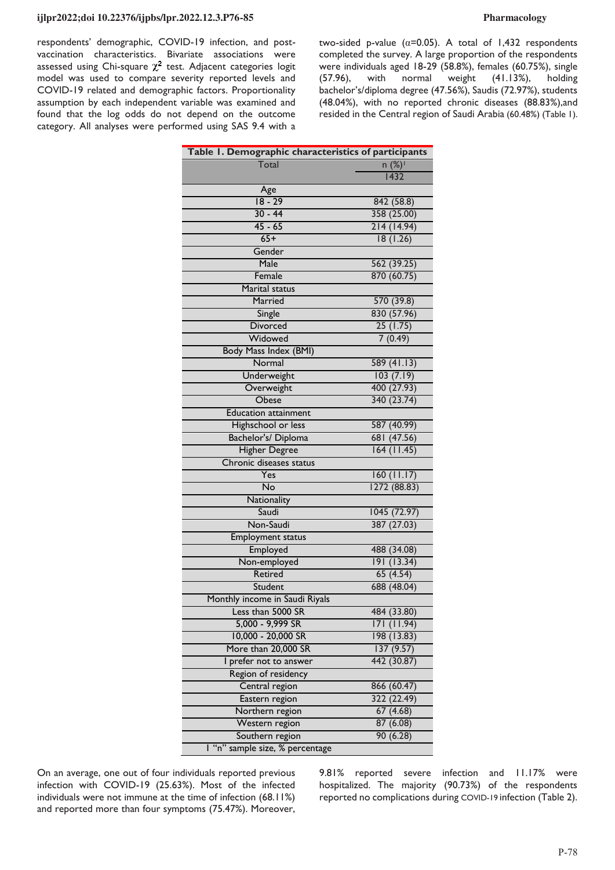respondents' demographic, COVID-19 infection, and postvaccination characteristics. Bivariate associations were assessed using Chi-square  $\chi^2$  test. Adjacent categories logit model was used to compare severity reported levels and COVID-19 related and demographic factors. Proportionality assumption by each independent variable was examined and found that the log odds do not depend on the outcome category. All analyses were performed using SAS 9.4 with a two-sided p-value ( $\alpha$ =0.05). A total of 1,432 respondents completed the survey. A large proportion of the respondents were individuals aged 18-29 (58.8%), females (60.75%), single (57.96), with normal weight (41.13%), holding bachelor's/diploma degree (47.56%), Saudis (72.97%), students (48.04%), with no reported chronic diseases (88.83%),and resided in the Central region of Saudi Arabia (60.48%) (Table 1).

| Table 1. Demographic characteristics of participants |              |
|------------------------------------------------------|--------------|
| <b>Total</b>                                         | n (%)        |
|                                                      | 1432         |
| Age                                                  |              |
| $18 - 29$                                            | 842 (58.8)   |
| $30 - 44$                                            | 358 (25.00)  |
| $45 - 65$                                            | 214 (14.94)  |
| $65+$                                                | 18(1.26)     |
| Gender                                               |              |
| Male                                                 | 562 (39.25)  |
| Female                                               | 870 (60.75)  |
| Marital status                                       |              |
| Married                                              | 570 (39.8)   |
| Single                                               | 830(57.96)   |
| Divorced                                             | 25(1.75)     |
| Widowed                                              | 7(0.49)      |
| <b>Body Mass Index (BMI)</b>                         |              |
| Normal                                               | 589 (41.13)  |
| Underweight                                          | 103(7.19)    |
| Overweight                                           | 400 (27.93)  |
| <b>Obese</b>                                         | 340 (23.74)  |
| <b>Education attainment</b>                          |              |
| Highschool or less                                   | 587 (40.99)  |
| Bachelor's/Diploma                                   | 681 (47.56)  |
| <b>Higher Degree</b>                                 | 164(11.45)   |
| Chronic diseases status                              |              |
| Yes                                                  | 160(11.17)   |
| No                                                   | 1272 (88.83) |
| Nationality                                          |              |
| Saudi                                                | 1045 (72.97) |
| Non-Saudi                                            | 387 (27.03)  |
| <b>Employment status</b>                             |              |
| Employed                                             | 488 (34.08)  |
| Non-employed                                         | 191 (13.34)  |
| <b>Retired</b>                                       | 65(4.54)     |
| Student                                              | 688 (48.04)  |
| Monthly income in Saudi Riyals                       |              |
| Less than 5000 SR                                    | 484 (33.80)  |
| 5,000 - 9,999 SR                                     | 171 (11.94)  |
| 10,000 - 20,000 SR                                   | 198 (13.83)  |
| More than 20,000 SR                                  | 137(9.57)    |
| I prefer not to answer                               | 442 (30.87)  |
| Region of residency                                  |              |
| Central region                                       | 866 (60.47)  |
| Eastern region                                       | 322 (22.49)  |
| Northern region                                      | 67(4.68)     |
| Western region                                       | 87(6.08)     |
| Southern region                                      | 90 (6.28)    |
| I "n" sample size, % percentage                      |              |

On an average, one out of four individuals reported previous infection with COVID-19 (25.63%). Most of the infected individuals were not immune at the time of infection (68.11%) and reported more than four symptoms (75.47%). Moreover,

9.81% reported severe infection and 11.17% were hospitalized. The majority (90.73%) of the respondents reported no complications during COVID-19 infection (Table 2).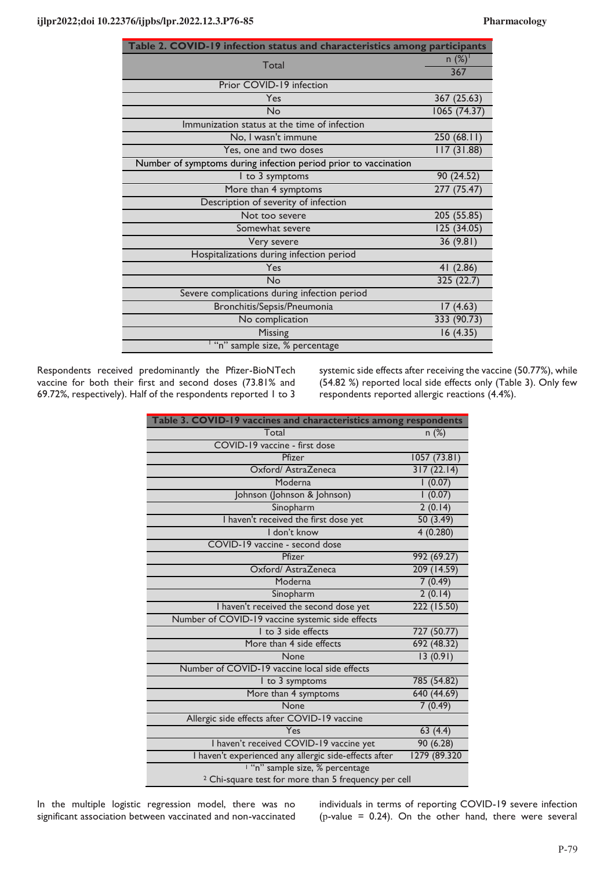| Table 2. COVID-19 infection status and characteristics among participants |                                             |
|---------------------------------------------------------------------------|---------------------------------------------|
| Total                                                                     | $n$ (%) <sup><math>\frac{1}{2}</math></sup> |
|                                                                           | 367                                         |
| Prior COVID-19 infection                                                  |                                             |
| Yes                                                                       | 367 (25.63)                                 |
| <b>No</b>                                                                 | 1065(74.37)                                 |
| Immunization status at the time of infection                              |                                             |
| No, I wasn't immune                                                       | 250(68.11)                                  |
| Yes, one and two doses                                                    | 117 (31.88)                                 |
| Number of symptoms during infection period prior to vaccination           |                                             |
| I to 3 symptoms                                                           | 90 (24.52)                                  |
| More than 4 symptoms                                                      | 277 (75.47)                                 |
| Description of severity of infection                                      |                                             |
| Not too severe                                                            | 205 (55.85)                                 |
| Somewhat severe                                                           | 125(34.05)                                  |
| Very severe                                                               | 36 (9.81)                                   |
| Hospitalizations during infection period                                  |                                             |
| Yes                                                                       | 41(2.86)                                    |
| No                                                                        | 325(22.7)                                   |
| Severe complications during infection period                              |                                             |
| Bronchitis/Sepsis/Pneumonia                                               | 17(4.63)                                    |
| No complication                                                           | 333 (90.73)                                 |
| Missing                                                                   | 16(4.35)                                    |
| "n" sample size, % percentage                                             |                                             |

Respondents received predominantly the Pfizer-BioNTech vaccine for both their first and second doses (73.81% and 69.72%, respectively). Half of the respondents reported 1 to 3

systemic side effects after receiving the vaccine (50.77%), while (54.82 %) reported local side effects only (Table 3). Only few respondents reported allergic reactions (4.4%).

| Table 3. COVID-19 vaccines and characteristics among respondents |              |
|------------------------------------------------------------------|--------------|
| Total                                                            | n(%)         |
| COVID-19 vaccine - first dose                                    |              |
| Pfizer                                                           | 1057 (73.81) |
| Oxford/AstraZeneca                                               | 317(22.14)   |
| Moderna                                                          | 1(0.07)      |
| Johnson (Johnson & Johnson)                                      | 1(0.07)      |
| Sinopharm                                                        | 2(0.14)      |
| I haven't received the first dose yet                            | 50(3.49)     |
| I don't know                                                     | 4(0.280)     |
| COVID-19 vaccine - second dose                                   |              |
| Pfizer                                                           | 992 (69.27)  |
| Oxford/AstraZeneca                                               | 209 (14.59)  |
| Moderna                                                          | 7(0.49)      |
| Sinopharm                                                        | 2(0.14)      |
| I haven't received the second dose yet                           | 222 (15.50)  |
| Number of COVID-19 vaccine systemic side effects                 |              |
| I to 3 side effects                                              | 727 (50.77)  |
| More than 4 side effects                                         | 692 (48.32)  |
| None                                                             | 13(0.91)     |
| Number of COVID-19 vaccine local side effects                    |              |
| I to 3 symptoms                                                  | 785 (54.82)  |
| More than 4 symptoms                                             | 640 (44.69)  |
| None                                                             | 7(0.49)      |
| Allergic side effects after COVID-19 vaccine                     |              |
| Yes                                                              | 63(4.4)      |
| I haven't received COVID-19 vaccine yet                          | 90(6.28)     |
| I haven't experienced any allergic side-effects after            | 1279 (89.320 |
| <sup>1</sup> "n" sample size, % percentage                       |              |
| <sup>2</sup> Chi-square test for more than 5 frequency per cell  |              |

In the multiple logistic regression model, there was no significant association between vaccinated and non-vaccinated individuals in terms of reporting COVID-19 severe infection (p-value =  $0.24$ ). On the other hand, there were several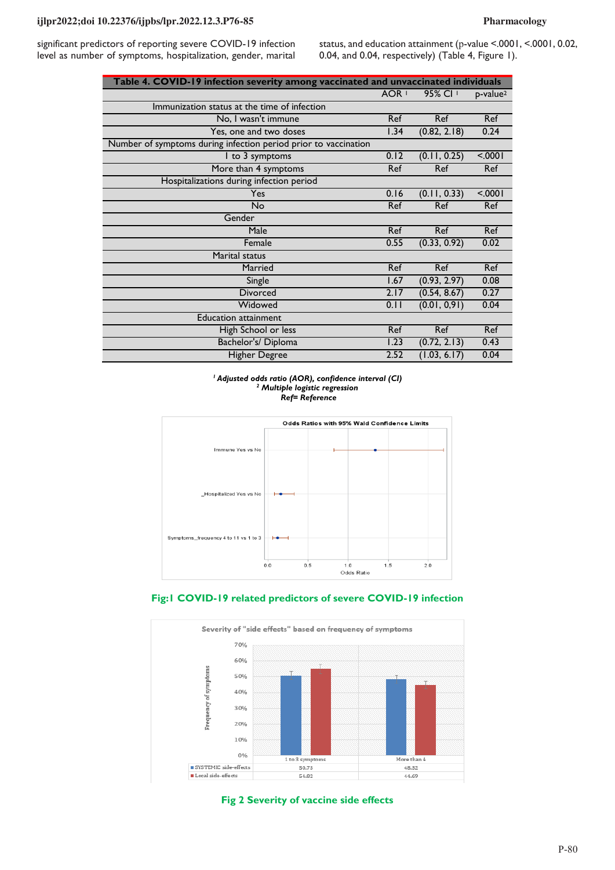significant predictors of reporting severe COVID-19 infection level as number of symptoms, hospitalization, gender, marital status, and education attainment (p-value <.0001, <.0001, 0.02, 0.04, and 0.04, respectively) (Table 4, Figure 1).

| Table 4. COVID-19 infection severity among vaccinated and unvaccinated individuals |       |              |            |
|------------------------------------------------------------------------------------|-------|--------------|------------|
|                                                                                    | AOR 1 | 95% CI 1     | $p-value2$ |
| Immunization status at the time of infection                                       |       |              |            |
| No, I wasn't immune                                                                | Ref   | Ref          | Ref        |
| Yes, one and two doses                                                             | 1.34  | (0.82, 2.18) | 0.24       |
| Number of symptoms during infection period prior to vaccination                    |       |              |            |
| I to 3 symptoms                                                                    | 0.12  | (0.11, 0.25) | 50001      |
| More than 4 symptoms                                                               | Ref   | Ref          | Ref        |
| Hospitalizations during infection period                                           |       |              |            |
| Yes                                                                                | 0.16  | (0.11, 0.33) | < .0001    |
| <b>No</b>                                                                          | Ref   | Ref          | Ref        |
| Gender                                                                             |       |              |            |
| Male                                                                               | Ref   | Ref          | Ref        |
| Female                                                                             | 0.55  | (0.33, 0.92) | 0.02       |
| Marital status                                                                     |       |              |            |
| Married                                                                            | Ref   | Ref          | Ref        |
| Single                                                                             | 1.67  | (0.93, 2.97) | 0.08       |
| Divorced                                                                           | 2.17  | (0.54, 8.67) | 0.27       |
| Widowed                                                                            | 0.11  | (0.01, 0.91) | 0.04       |
| <b>Education attainment</b>                                                        |       |              |            |
| High School or less                                                                | Ref   | Ref          | Ref        |
| Bachelor's/ Diploma                                                                | 1.23  | (0.72, 2.13) | 0.43       |
| <b>Higher Degree</b>                                                               | 2.52  | (1.03, 6.17) | 0.04       |









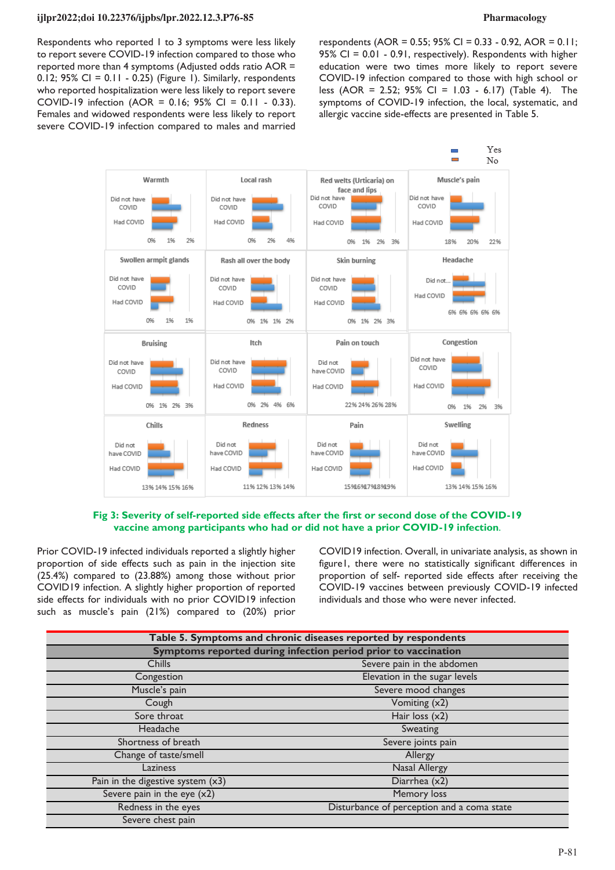Respondents who reported 1 to 3 symptoms were less likely to report severe COVID-19 infection compared to those who reported more than 4 symptoms (Adjusted odds ratio AOR = 0.12;  $95\%$  CI = 0.11 - 0.25) (Figure 1). Similarly, respondents who reported hospitalization were less likely to report severe COVID-19 infection (AOR = 0.16; 95% CI = 0.11 - 0.33). Females and widowed respondents were less likely to report severe COVID-19 infection compared to males and married respondents (AOR = 0.55; 95% CI = 0.33 - 0.92, AOR = 0.11; 95% CI = 0.01 - 0.91, respectively). Respondents with higher education were two times more likely to report severe COVID-19 infection compared to those with high school or less (AOR = 2.52; 95% CI = 1.03 - 6.17) (Table 4). The symptoms of COVID-19 infection, the local, systematic, and allergic vaccine side-effects are presented in Table 5.



### **Fig 3: Severity of self-reported side effects after the first or second dose of the COVID-19 vaccine among participants who had or did not have a prior COVID-19 infection**.

Prior COVID-19 infected individuals reported a slightly higher proportion of side effects such as pain in the injection site (25.4%) compared to (23.88%) among those without prior COVID19 infection. A slightly higher proportion of reported side effects for individuals with no prior COVID19 infection such as muscle's pain (21%) compared to (20%) prior

COVID19 infection. Overall, in univariate analysis, as shown in figure1, there were no statistically significant differences in proportion of self- reported side effects after receiving the COVID-19 vaccines between previously COVID-19 infected individuals and those who were never infected.

| Table 5. Symptoms and chronic diseases reported by respondents |                                            |  |
|----------------------------------------------------------------|--------------------------------------------|--|
| Symptoms reported during infection period prior to vaccination |                                            |  |
| <b>Chills</b>                                                  | Severe pain in the abdomen                 |  |
| Congestion                                                     | Elevation in the sugar levels              |  |
| Muscle's pain                                                  | Severe mood changes                        |  |
| Cough                                                          | Vomiting (x2)                              |  |
| Sore throat                                                    | Hair loss $(x2)$                           |  |
| Headache                                                       | Sweating                                   |  |
| Shortness of breath                                            | Severe joints pain                         |  |
| Change of taste/smell                                          | Allergy                                    |  |
| <b>Laziness</b>                                                | <b>Nasal Allergy</b>                       |  |
| Pain in the digestive system $(x3)$                            | Diarrhea (x2)                              |  |
| Severe pain in the eye $(x2)$                                  | Memory loss                                |  |
| Redness in the eyes                                            | Disturbance of perception and a coma state |  |
| Severe chest pain                                              |                                            |  |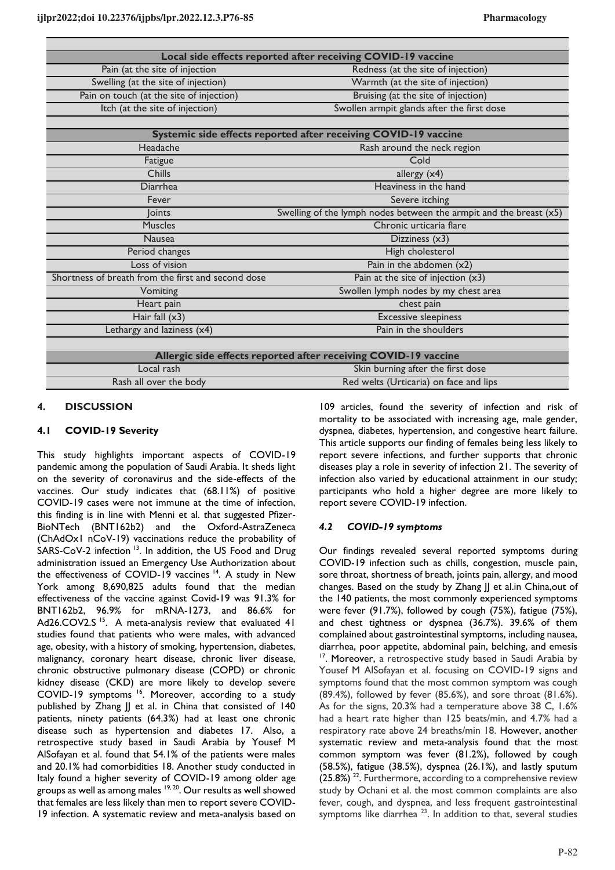| Local side effects reported after receiving COVID-19 vaccine |                                            |  |
|--------------------------------------------------------------|--------------------------------------------|--|
| Pain (at the site of injection                               | Redness (at the site of injection)         |  |
| Swelling (at the site of injection)                          | Warmth (at the site of injection)          |  |
| Pain on touch (at the site of injection)                     | Bruising (at the site of injection)        |  |
| Itch (at the site of injection)                              | Swollen armpit glands after the first dose |  |
|                                                              |                                            |  |

| Systemic side effects reported after receiving COVID-19 vaccine |                                                                      |  |
|-----------------------------------------------------------------|----------------------------------------------------------------------|--|
| Headache                                                        | Rash around the neck region                                          |  |
| Fatigue                                                         | Cold                                                                 |  |
| <b>Chills</b>                                                   | allergy $(x4)$                                                       |  |
| <b>Diarrhea</b>                                                 | Heaviness in the hand                                                |  |
| Fever                                                           | Severe itching                                                       |  |
| <b>loints</b>                                                   | Swelling of the lymph nodes between the armpit and the breast $(x5)$ |  |
| <b>Muscles</b>                                                  | Chronic urticaria flare                                              |  |
| <b>Nausea</b>                                                   | Dizziness $(x3)$                                                     |  |
| Period changes                                                  | High cholesterol                                                     |  |
| Loss of vision                                                  | Pain in the abdomen $(x2)$                                           |  |
| Shortness of breath from the first and second dose              | Pain at the site of injection $(x3)$                                 |  |
| Vomiting                                                        | Swollen lymph nodes by my chest area                                 |  |
| Heart pain                                                      | chest pain                                                           |  |
| Hair fall $(x3)$                                                | <b>Excessive sleepiness</b>                                          |  |
| Lethargy and laziness (x4)                                      | Pain in the shoulders                                                |  |
|                                                                 |                                                                      |  |
| Allergic side effects reported after receiving COVID-19 vaccine |                                                                      |  |
| المامسين الممتمان                                               | Claim because the marketing also finds almost                        |  |

| <b>Principle state chiedes reported and receiving switched in vaccine</b> |                                        |
|---------------------------------------------------------------------------|----------------------------------------|
| Local rash                                                                | Skin burning after the first dose      |
| Rash all over the body                                                    | Red welts (Urticaria) on face and lips |
|                                                                           |                                        |

## **4. DISCUSSION**

### **4.1 COVID-19 Severity**

This study highlights important aspects of COVID-19 pandemic among the population of Saudi Arabia. It sheds light on the severity of coronavirus and the side-effects of the vaccines. Our study indicates that (68.11%) of positive COVID-19 cases were not immune at the time of infection, this finding is in line with Menni et al. that suggested Pfizer-BioNTech (BNT162b2) and the Oxford-AstraZeneca (ChAdOx1 nCoV-19) vaccinations reduce the probability of SARS-CoV-2 infection<sup>13</sup>. In addition, the US Food and Drug administration issued an Emergency Use Authorization about the effectiveness of COVID-19 vaccines<sup>14</sup>. A study in New York among 8,690,825 adults found that the median effectiveness of the vaccine against Covid-19 was 91.3% for BNT162b2, 96.9% for mRNA-1273, and 86.6% for Ad26.COV2.S<sup>15</sup>. A meta-analysis review that evaluated 41 studies found that patients who were males, with advanced age, obesity, with a history of smoking, hypertension, diabetes, malignancy, coronary heart disease, chronic liver disease, chronic obstructive pulmonary disease (COPD) or chronic kidney disease (CKD) are more likely to develop severe COVID-19 symptoms  $16$ . Moreover, according to a study published by Zhang JJ et al. in China that consisted of 140 patients, ninety patients (64.3%) had at least one chronic disease such as hypertension and diabetes 17. Also, a retrospective study based in Saudi Arabia by Yousef M AlSofayan et al. found that 54.1% of the patients were males and 20.1% had comorbidities 18. Another study conducted in Italy found a higher severity of COVID-19 among older age groups as well as among males 19, 20. Our results as well showed that females are less likely than men to report severe COVID-19 infection. A systematic review and meta-analysis based on

109 articles, found the severity of infection and risk of mortality to be associated with increasing age, male gender, dyspnea, diabetes, hypertension, and congestive heart failure. This article supports our finding of females being less likely to report severe infections, and further supports that chronic diseases play a role in severity of infection 21. The severity of infection also varied by educational attainment in our study; participants who hold a higher degree are more likely to report severe COVID-19 infection.

## *4.2 COVID-19 symptoms*

Our findings revealed several reported symptoms during COVID-19 infection such as chills, congestion, muscle pain, sore throat, shortness of breath, joints pain, allergy, and mood changes. Based on the study by Zhang JJ et al.in China,out of the 140 patients, the most commonly experienced symptoms were fever (91.7%), followed by cough (75%), fatigue (75%), and chest tightness or dyspnea (36.7%). 39.6% of them complained about gastrointestinal symptoms, including nausea, diarrhea, poor appetite, abdominal pain, belching, and emesis <sup>17</sup>. Moreover, a retrospective study based in Saudi Arabia by Yousef M AlSofayan et al. focusing on COVID-19 signs and symptoms found that the most common symptom was cough (89.4%), followed by fever (85.6%), and sore throat (81.6%). As for the signs, 20.3% had a temperature above 38 C, 1.6% had a heart rate higher than 125 beats/min, and 4.7% had a respiratory rate above 24 breaths/min 18. However, another systematic review and meta-analysis found that the most common symptom was fever (81.2%), followed by cough (58.5%), fatigue (38.5%), dyspnea (26.1%), and lastly sputum  $(25.8%)$  <sup>22</sup>. Furthermore, according to a comprehensive review study by Ochani et al. the most common complaints are also fever, cough, and dyspnea, and less frequent gastrointestinal symptoms like diarrhea  $^{23}$ . In addition to that, several studies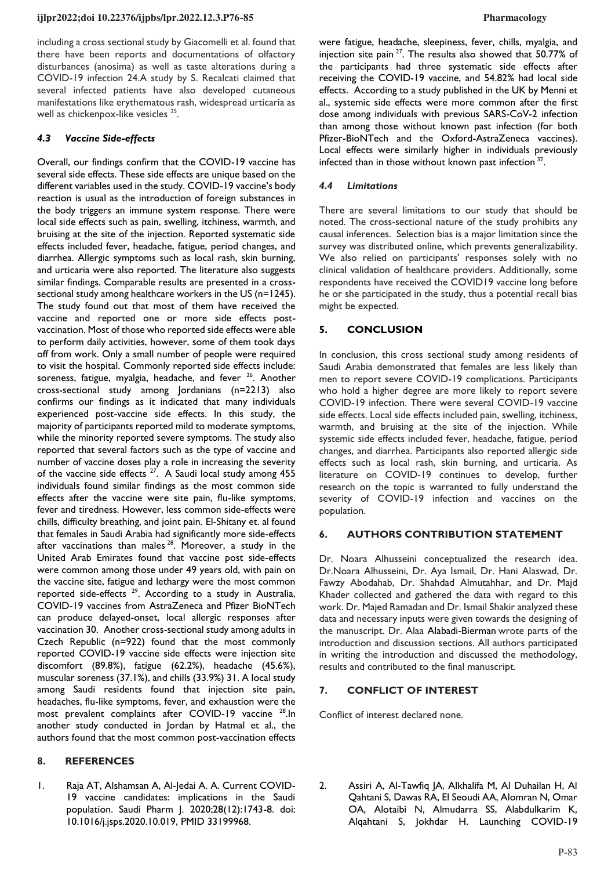including a cross sectional study by Giacomelli et al. found that there have been reports and documentations of olfactory disturbances (anosima) as well as taste alterations during a COVID-19 infection 24.A study by S. Recalcati claimed that several infected patients have also developed cutaneous manifestations like erythematous rash, widespread urticaria as well as chickenpox-like vesicles <sup>25</sup>.

## *4.3 Vaccine Side-effects*

Overall, our findings confirm that the COVID-19 vaccine has several side effects. These side effects are unique based on the different variables used in the study. COVID-19 vaccine's body reaction is usual as the introduction of foreign substances in the body triggers an immune system response. There were local side effects such as pain, swelling, itchiness, warmth, and bruising at the site of the injection. Reported systematic side effects included fever, headache, fatigue, period changes, and diarrhea. Allergic symptoms such as local rash, skin burning, and urticaria were also reported. The literature also suggests similar findings. Comparable results are presented in a crosssectional study among healthcare workers in the US (n=1245). The study found out that most of them have received the vaccine and reported one or more side effects postvaccination. Most of those who reported side effects were able to perform daily activities, however, some of them took days off from work. Only a small number of people were required to visit the hospital. Commonly reported side effects include: soreness, fatigue, myalgia, headache, and fever <sup>26</sup>. Another cross-sectional study among Jordanians (n=2213) also confirms our findings as it indicated that many individuals experienced post-vaccine side effects. In this study, the majority of participants reported mild to moderate symptoms, while the minority reported severe symptoms. The study also reported that several factors such as the type of vaccine and number of vaccine doses play a role in increasing the severity of the vaccine side effects  $27$ . A Saudi local study among 455 individuals found similar findings as the most common side effects after the vaccine were site pain, flu-like symptoms, fever and tiredness. However, less common side-effects were chills, difficulty breathing, and joint pain. El-Shitany et. al found that females in Saudi Arabia had significantly more side-effects after vaccinations than males<sup>28</sup>. Moreover, a study in the United Arab Emirates found that vaccine post side-effects were common among those under 49 years old, with pain on the vaccine site, fatigue and lethargy were the most common reported side-effects  $29$ . According to a study in Australia, COVID-19 vaccines from AstraZeneca and Pfizer BioNTech can produce delayed-onset, local allergic responses after vaccination 30. Another cross-sectional study among adults in Czech Republic (n=922) found that the most commonly reported COVID-19 vaccine side effects were injection site discomfort (89.8%), fatigue (62.2%), headache (45.6%), muscular soreness (37.1%), and chills (33.9%) 31. A local study among Saudi residents found that injection site pain, headaches, flu-like symptoms, fever, and exhaustion were the most prevalent complaints after COVID-19 vaccine <sup>28</sup>.In another study conducted in Jordan by Hatmal et al., the authors found that the most common post-vaccination effects

## **8. REFERENCES**

1. Raja AT, Alshamsan A, Al-Jedai A. A. Current COVID-19 vaccine candidates: implications in the Saudi population. Saudi Pharm J. 2020;28(12):1743-8. doi: [10.1016/j.jsps.2020.10.019,](https://doi.org/10.1016/j.jsps.2020.10.019) PMID [33199968.](https://www.ncbi.nlm.nih.gov/pubmed/33199968)

were fatigue, headache, sleepiness, fever, chills, myalgia, and injection site pain  $27$ . The results also showed that 50.77% of the participants had three systematic side effects after receiving the COVID-19 vaccine, and 54.82% had local side effects. According to a study published in the UK by Menni et al., systemic side effects were more common after the first dose among individuals with previous SARS-CoV-2 infection than among those without known past infection (for both Pfizer-BioNTech and the Oxford-AstraZeneca vaccines). Local effects were similarly higher in individuals previously infected than in those without known past infection  $32$ .

## *4.4 Limitations*

There are several limitations to our study that should be noted. The cross-sectional nature of the study prohibits any causal inferences. Selection bias is a major limitation since the survey was distributed online, which prevents generalizability. We also relied on participants' responses solely with no clinical validation of healthcare providers. Additionally, some respondents have received the COVID19 vaccine long before he or she participated in the study, thus a potential recall bias might be expected.

### **5. CONCLUSION**

In conclusion, this cross sectional study among residents of Saudi Arabia demonstrated that females are less likely than men to report severe COVID-19 complications. Participants who hold a higher degree are more likely to report severe COVID-19 infection. There were several COVID-19 vaccine side effects. Local side effects included pain, swelling, itchiness, warmth, and bruising at the site of the injection. While systemic side effects included fever, headache, fatigue, period changes, and diarrhea. Participants also reported allergic side effects such as local rash, skin burning, and urticaria. As literature on COVID-19 continues to develop, further research on the topic is warranted to fully understand the severity of COVID-19 infection and vaccines on the population.

### **6. AUTHORS CONTRIBUTION STATEMENT**

Dr. Noara Alhusseini conceptualized the research idea. Dr.Noara Alhusseini, Dr. Aya Ismail, Dr. Hani Alaswad, Dr. Fawzy Abodahab, Dr. Shahdad Almutahhar, and Dr. Majd Khader collected and gathered the data with regard to this work. Dr. Majed Ramadan and Dr. Ismail Shakir analyzed these data and necessary inputs were given towards the designing of the manuscript. Dr. Alaa Alabadi-Bierman wrote parts of the introduction and discussion sections. All authors participated in writing the introduction and discussed the methodology, results and contributed to the final manuscript.

### **7. CONFLICT OF INTEREST**

Conflict of interest declared none.

2. Assiri A, Al-Tawfiq JA, Alkhalifa M, Al Duhailan H, Al Qahtani S, Dawas RA, El Seoudi AA, Alomran N, Omar OA, Alotaibi N, Almudarra SS, Alabdulkarim K, Alqahtani S, Jokhdar H. Launching COVID-19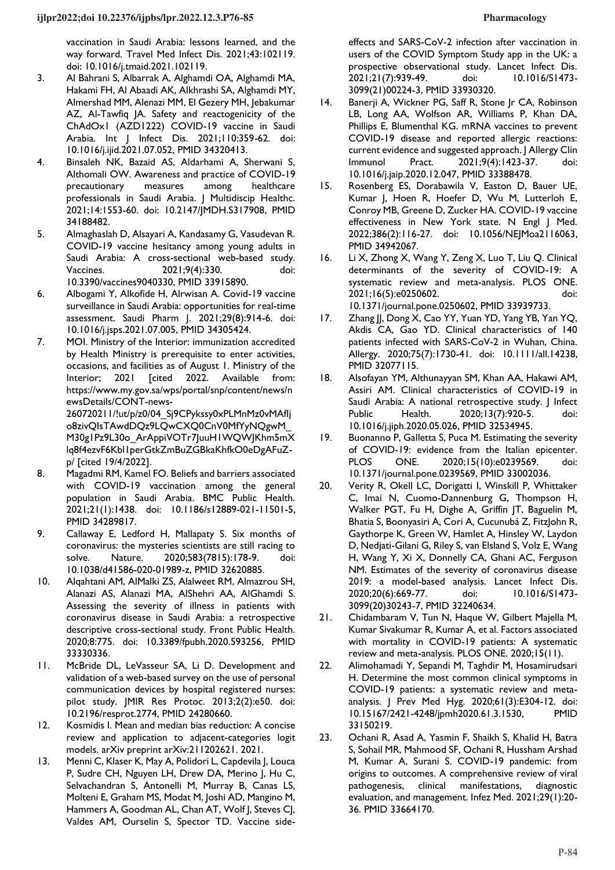vaccination in Saudi Arabia: lessons learned, and the way forward. Travel Med Infect Dis. 2021;43:102119. doi: [10.1016/j.tmaid.2021.102119.](https://doi.org/10.1016/j.tmaid.2021.102119) 

- 3. Al Bahrani S, Albarrak A, Alghamdi OA, Alghamdi MA, Hakami FH, Al Abaadi AK, Alkhrashi SA, Alghamdi MY, Almershad MM, Alenazi MM, El Gezery MH, Jebakumar AZ, Al-Tawfiq JA. Safety and reactogenicity of the ChAdOx1 (AZD1222) COVID-19 vaccine in Saudi Arabia. Int J Infect Dis. 2021;110:359-62. doi: [10.1016/j.ijid.2021.07.052,](https://doi.org/10.1016/j.ijid.2021.07.052) PMID [34320413.](https://www.ncbi.nlm.nih.gov/pubmed/34320413)
- 4. Binsaleh NK, Bazaid AS, Aldarhami A, Sherwani S, Althomali OW. Awareness and practice of COVID-19 precautionary measures among healthcare professionals in Saudi Arabia. J Multidiscip Healthc. 2021;14:1553-60. doi: [10.2147/JMDH.S317908,](https://doi.org/10.2147/JMDH.S317908) PMID [34188482.](https://www.ncbi.nlm.nih.gov/pubmed/34188482)
- 5. Almaghaslah D, Alsayari A, Kandasamy G, Vasudevan R. COVID-19 vaccine hesitancy among young adults in Saudi Arabia: A cross-sectional web-based study. Vaccines. 2021;9(4):330. doi: [10.3390/vaccines9040330,](https://doi.org/10.3390/vaccines9040330) PMID [33915890.](https://www.ncbi.nlm.nih.gov/pubmed/33915890)
- 6. Albogami Y, Alkofide H, Alrwisan A. Covid-19 vaccine surveillance in Saudi Arabia: opportunities for real-time assessment. Saudi Pharm J. 2021;29(8):914-6. doi: [10.1016/j.jsps.2021.07.005,](https://doi.org/10.1016/j.jsps.2021.07.005) PMID [34305424.](https://www.ncbi.nlm.nih.gov/pubmed/34305424)

7. MOI. Ministry of the Interior: immunization accredited by Health Ministry is prerequisite to enter activities, occasions, and facilities as of August 1. Ministry of the Interior; 2021 [cited 2022. Available from: https://www.my.gov.sa/wps/portal/snp/content/news/n ewsDetails/CONT-news-260720211/!ut/p/z0/04\_Sj9CPykssy0xPLMnMz0vMAfIj o8zivQIsTAwdDQz9LQwCXQ0CnV0MfYyNQgwM\_ M30g1Pz9L30o\_ArAppiVOTr7JuuH1WQWJKhm5mX

lq8f4ezvF6Kbl1perGtkZmBuZGBkaKhfkO0eDgAFuZp/ [cited 19/4/2022].

- 8. Magadmi RM, Kamel FO. Beliefs and barriers associated with COVID-19 vaccination among the general population in Saudi Arabia. BMC Public Health. 2021;21(1):1438. doi: [10.1186/s12889-021-11501-5,](https://doi.org/10.1186/s12889-021-11501-5) PMID [34289817.](https://www.ncbi.nlm.nih.gov/pubmed/34289817)
- 9. Callaway E, Ledford H, Mallapaty S. Six months of coronavirus: the mysteries scientists are still racing to solve. Nature. 2020;583(7815):178-9. doi: [10.1038/d41586-020-01989-z,](https://doi.org/10.1038/d41586-020-01989-z) PMID [32620885.](https://www.ncbi.nlm.nih.gov/pubmed/32620885)
- 10. Alqahtani AM, AlMalki ZS, Alalweet RM, Almazrou SH, Alanazi AS, Alanazi MA, AlShehri AA, AlGhamdi S. Assessing the severity of illness in patients with coronavirus disease in Saudi Arabia: a retrospective descriptive cross-sectional study. Front Public Health. 2020;8:775. doi: [10.3389/fpubh.2020.593256,](https://doi.org/10.3389/fpubh.2020.593256) PMID [33330336.](https://www.ncbi.nlm.nih.gov/pubmed/33330336)
- 11. McBride DL, LeVasseur SA, Li D. Development and validation of a web-based survey on the use of personal communication devices by hospital registered nurses: pilot study. JMIR Res Protoc. 2013;2(2):e50. doi: [10.2196/resprot.2774,](https://doi.org/10.2196/resprot.2774) PMID [24280660.](https://www.ncbi.nlm.nih.gov/pubmed/24280660)
- 12. Kosmidis I. Mean and median bias reduction: A concise review and application to adjacent-categories logit models. arXiv preprint arXiv:211202621. 2021.
- 13. Menni C, Klaser K, May A, Polidori L, Capdevila J, Louca P, Sudre CH, Nguyen LH, Drew DA, Merino J, Hu C, Selvachandran S, Antonelli M, Murray B, Canas LS, Molteni E, Graham MS, Modat M, Joshi AD, Mangino M, Hammers A, Goodman AL, Chan AT, Wolf J, Steves CJ, Valdes AM, Ourselin S, Spector TD. Vaccine side-

effects and SARS-CoV-2 infection after vaccination in users of the COVID Symptom Study app in the UK: a prospective observational study. Lancet Infect Dis. 2021;21(7):939-49. doi: [10.1016/S1473-](https://doi.org/10.1016/S1473-3099(21)00224-3) [3099\(21\)00224-3,](https://doi.org/10.1016/S1473-3099(21)00224-3) PMID [33930320.](https://www.ncbi.nlm.nih.gov/pubmed/33930320)

- 14. Banerji A, Wickner PG, Saff R, Stone Jr CA, Robinson LB, Long AA, Wolfson AR, Williams P, Khan DA, Phillips E, Blumenthal KG. mRNA vaccines to prevent COVID-19 disease and reported allergic reactions: current evidence and suggested approach. J Allergy Clin Immunol Pract. 2021;9(4):1423-37. doi: [10.1016/j.jaip.2020.12.047,](https://doi.org/10.1016/j.jaip.2020.12.047) PMID [33388478.](https://www.ncbi.nlm.nih.gov/pubmed/33388478)
- 15. Rosenberg ES, Dorabawila V, Easton D, Bauer UE, Kumar J, Hoen R, Hoefer D, Wu M, Lutterloh E, Conroy MB, Greene D, Zucker HA. COVID-19 vaccine effectiveness in New York state. N Engl | Med. 2022;386(2):116-27. doi: [10.1056/NEJMoa2116063,](https://doi.org/10.1056/NEJMoa2116063) PMID [34942067.](https://www.ncbi.nlm.nih.gov/pubmed/34942067)
- 16. Li X, Zhong X, Wang Y, Zeng X, Luo T, Liu Q. Clinical determinants of the severity of COVID-19: A systematic review and meta-analysis. PLOS ONE. 2021;16(5):e0250602. [10.1371/journal.pone.0250602,](https://doi.org/10.1371/journal.pone.0250602) PMID [33939733.](https://www.ncbi.nlm.nih.gov/pubmed/33939733)
- 17. Zhang JJ, Dong X, Cao YY, Yuan YD, Yang YB, Yan YQ, Akdis CA, Gao YD. Clinical characteristics of 140 patients infected with SARS-CoV-2 in Wuhan, China. Allergy. 2020;75(7):1730-41. doi: [10.1111/all.14238,](https://doi.org/10.1111/all.14238) PMID [32077115.](https://www.ncbi.nlm.nih.gov/pubmed/32077115)
- 18. Alsofayan YM, Althunayyan SM, Khan AA, Hakawi AM, Assiri AM. Clinical characteristics of COVID-19 in Saudi Arabia: A national retrospective study. J Infect Public Health. 2020;13(7):920-5. doi: [10.1016/j.jiph.2020.05.026,](https://doi.org/10.1016/j.jiph.2020.05.026) PMID [32534945.](https://www.ncbi.nlm.nih.gov/pubmed/32534945)
- 19. Buonanno P, Galletta S, Puca M. Estimating the severity of COVID-19: evidence from the Italian epicenter. PLOS ONE. 2020;15(10):e0239569. doi: [10.1371/journal.pone.0239569,](https://doi.org/10.1371/journal.pone.0239569) PMID [33002036.](https://www.ncbi.nlm.nih.gov/pubmed/33002036)
- 20. Verity R, Okell LC, Dorigatti I, Winskill P, Whittaker C, Imai N, Cuomo-Dannenburg G, Thompson H, Walker PGT, Fu H, Dighe A, Griffin JT, Baguelin M, Bhatia S, Boonyasiri A, Cori A, Cucunubá Z, FitzJohn R, Gaythorpe K, Green W, Hamlet A, Hinsley W, Laydon D, Nedjati-Gilani G, Riley S, van Elsland S, Volz E, Wang H, Wang Y, Xi X, Donnelly CA, Ghani AC, Ferguson NM. Estimates of the severity of coronavirus disease 2019: a model-based analysis. Lancet Infect Dis. 2020;20(6):669-77. doi: [10.1016/S1473-](https://doi.org/10.1016/S1473-3099(20)30243-7) [3099\(20\)30243-7,](https://doi.org/10.1016/S1473-3099(20)30243-7) PMID [32240634.](https://www.ncbi.nlm.nih.gov/pubmed/32240634)
- 21. Chidambaram V, Tun N, Haque W, Gilbert Majella M, Kumar Sivakumar R, Kumar A, et al. Factors associated with mortality in COVID-19 patients: A systematic review and meta-analysis. PLOS ONE. 2020;15(11).
- 22. Alimohamadi Y, Sepandi M, Taghdir M, Hosamirudsari H. Determine the most common clinical symptoms in COVID-19 patients: a systematic review and metaanalysis. J Prev Med Hyg. 2020;61(3):E304-12. doi: [10.15167/2421-4248/jpmh2020.61.3.1530,](https://doi.org/10.15167/2421-4248/jpmh2020.61.3.1530) PMID [33150219.](https://www.ncbi.nlm.nih.gov/pubmed/33150219)
- 23. Ochani R, Asad A, Yasmin F, Shaikh S, Khalid H, Batra S, Sohail MR, Mahmood SF, Ochani R, Hussham Arshad M, Kumar A, Surani S. COVID-19 pandemic: from origins to outcomes. A comprehensive review of viral pathogenesis, clinical manifestations, diagnostic evaluation, and management. Infez Med. 2021;29(1):20- 36. PMID [33664170.](https://www.ncbi.nlm.nih.gov/pubmed/33664170)